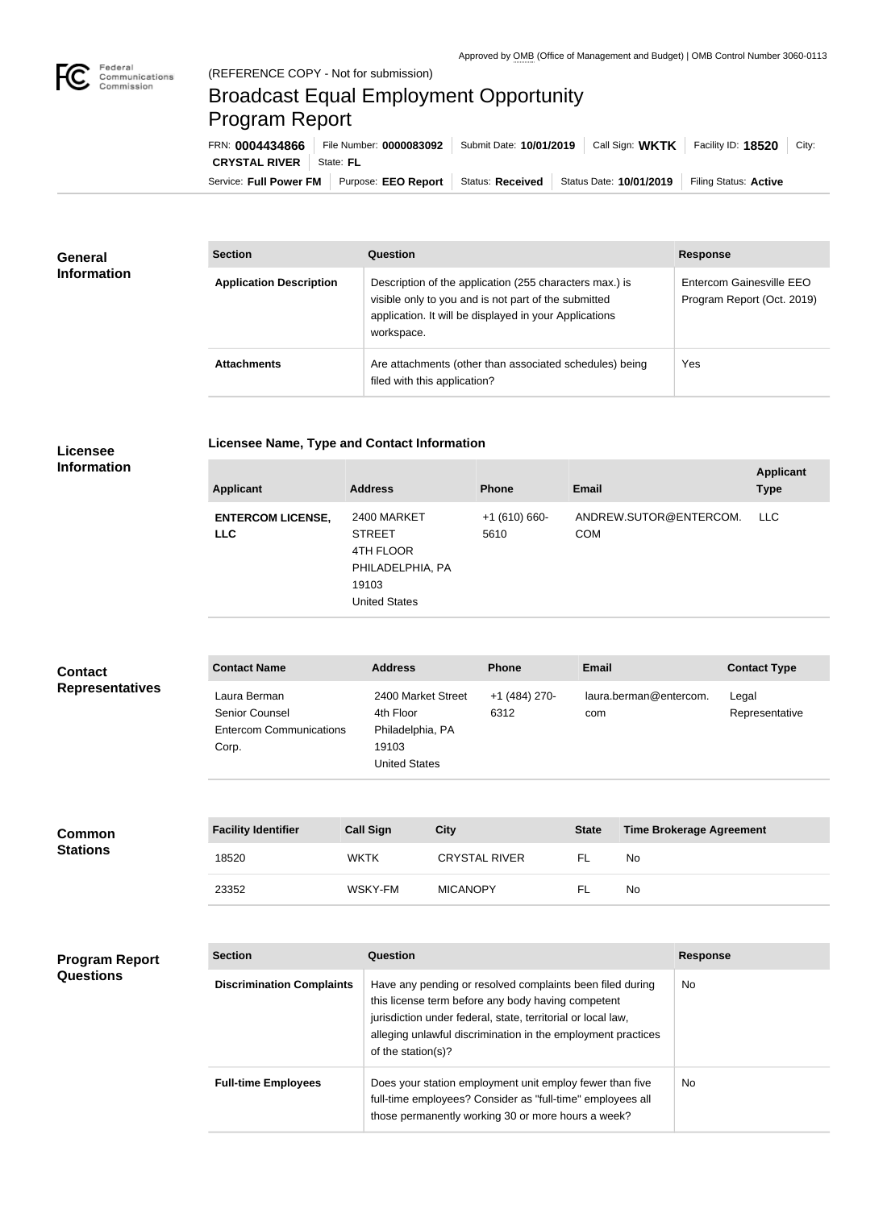

## Broadcast Equal Employment Opportunity Program Report

**Licensee Name, Type and Contact Information**

Service: Full Power FM Purpose: EEO Report | Status: Received | Status Date: 10/01/2019 | Filing Status: Active **CRYSTAL RIVER** | State: FL FRN: **0004434866** File Number: **0000083092** Submit Date: **10/01/2019** Call Sign: **WKTK** Facility ID: **18520** City:

| <b>General</b><br><b>Information</b> | <b>Section</b>                 | Question                                                                                                                                                                                | <b>Response</b>                                        |  |
|--------------------------------------|--------------------------------|-----------------------------------------------------------------------------------------------------------------------------------------------------------------------------------------|--------------------------------------------------------|--|
|                                      | <b>Application Description</b> | Description of the application (255 characters max.) is<br>visible only to you and is not part of the submitted<br>application. It will be displayed in your Applications<br>workspace. | Entercom Gainesville EEO<br>Program Report (Oct. 2019) |  |
|                                      | <b>Attachments</b>             | Are attachments (other than associated schedules) being<br>filed with this application?                                                                                                 | Yes                                                    |  |

## **Licensee Information**

| <b>Applicant</b>                       | <b>Address</b>                                                                                 | <b>Phone</b>          | <b>Email</b>                         | <b>Applicant</b><br><b>Type</b> |
|----------------------------------------|------------------------------------------------------------------------------------------------|-----------------------|--------------------------------------|---------------------------------|
| <b>ENTERCOM LICENSE,</b><br><b>LLC</b> | 2400 MARKET<br><b>STREET</b><br>4TH FLOOR<br>PHILADELPHIA, PA<br>19103<br><b>United States</b> | $+1(610)660-$<br>5610 | ANDREW.SUTOR@ENTERCOM.<br><b>COM</b> | LLC.                            |
|                                        |                                                                                                |                       |                                      |                                 |

| <b>Contact</b>         | <b>Contact Name</b>                                                              | <b>Address</b>                                                                       | <b>Phone</b>          | Email                         | <b>Contact Type</b>     |
|------------------------|----------------------------------------------------------------------------------|--------------------------------------------------------------------------------------|-----------------------|-------------------------------|-------------------------|
| <b>Representatives</b> | Laura Berman<br><b>Senior Counsel</b><br><b>Entercom Communications</b><br>Corp. | 2400 Market Street<br>4th Floor<br>Philadelphia, PA<br>19103<br><b>United States</b> | +1 (484) 270-<br>6312 | laura.berman@entercom.<br>com | Legal<br>Representative |

| <b>Common</b><br><b>Stations</b> | <b>Facility Identifier</b> | <b>Call Sign</b> | <b>City</b>          | <b>State</b> | <b>Time Brokerage Agreement</b> |
|----------------------------------|----------------------------|------------------|----------------------|--------------|---------------------------------|
|                                  | 18520                      | <b>WKTK</b>      | <b>CRYSTAL RIVER</b> |              | No.                             |
|                                  | 23352                      | WSKY-FM          | <b>MICANOPY</b>      |              | No                              |

| <b>Program Report</b><br><b>Questions</b> | <b>Section</b>                   | Question                                                                                                                                                                                                                                                              | <b>Response</b> |
|-------------------------------------------|----------------------------------|-----------------------------------------------------------------------------------------------------------------------------------------------------------------------------------------------------------------------------------------------------------------------|-----------------|
|                                           | <b>Discrimination Complaints</b> | Have any pending or resolved complaints been filed during<br>this license term before any body having competent<br>jurisdiction under federal, state, territorial or local law,<br>alleging unlawful discrimination in the employment practices<br>of the station(s)? | No.             |
|                                           | <b>Full-time Employees</b>       | Does your station employment unit employ fewer than five<br>full-time employees? Consider as "full-time" employees all<br>those permanently working 30 or more hours a week?                                                                                          | No.             |